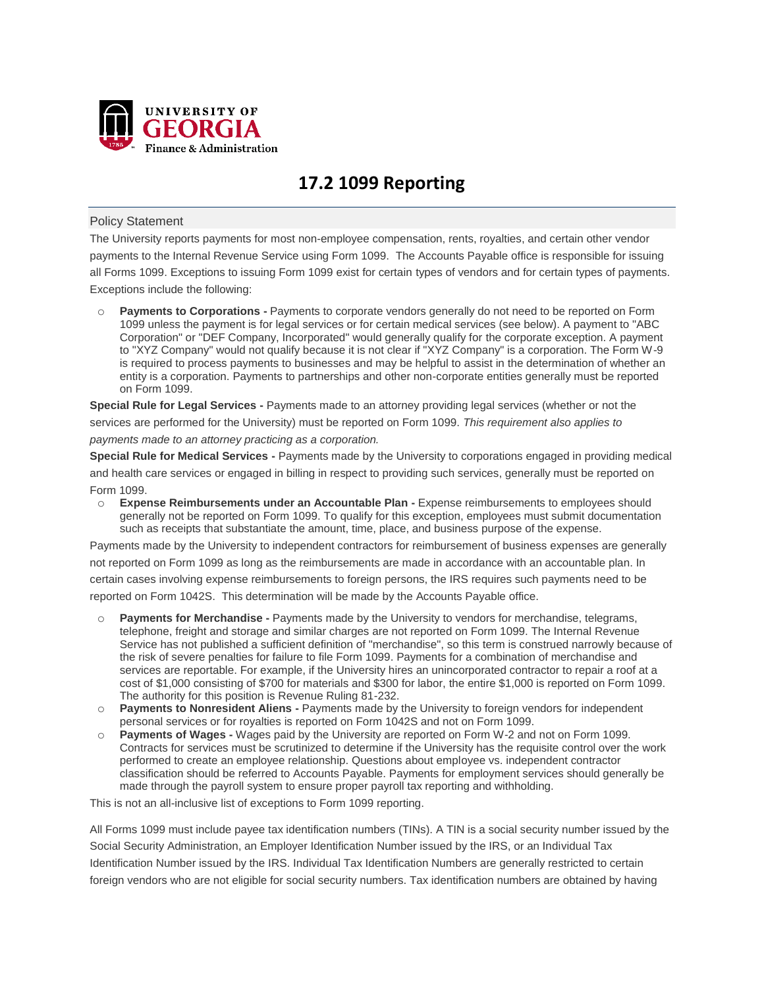

# **17.2 1099 Reporting**

## Policy Statement

The University reports payments for most non-employee compensation, rents, royalties, and certain other vendor payments to the Internal Revenue Service using Form 1099. The Accounts Payable office is responsible for issuing all Forms 1099. Exceptions to issuing Form 1099 exist for certain types of vendors and for certain types of payments. Exceptions include the following:

o **Payments to Corporations -** Payments to corporate vendors generally do not need to be reported on Form 1099 unless the payment is for legal services or for certain medical services (see below). A payment to "ABC Corporation" or "DEF Company, Incorporated" would generally qualify for the corporate exception. A payment to "XYZ Company" would not qualify because it is not clear if "XYZ Company" is a corporation. The Form W-9 is required to process payments to businesses and may be helpful to assist in the determination of whether an entity is a corporation. Payments to partnerships and other non-corporate entities generally must be reported on Form 1099.

**Special Rule for Legal Services -** Payments made to an attorney providing legal services (whether or not the services are performed for the University) must be reported on Form 1099. *This requirement also applies to payments made to an attorney practicing as a corporation.*

**Special Rule for Medical Services -** Payments made by the University to corporations engaged in providing medical and health care services or engaged in billing in respect to providing such services, generally must be reported on Form 1099.

o **Expense Reimbursements under an Accountable Plan -** Expense reimbursements to employees should generally not be reported on Form 1099. To qualify for this exception, employees must submit documentation such as receipts that substantiate the amount, time, place, and business purpose of the expense.

Payments made by the University to independent contractors for reimbursement of business expenses are generally not reported on Form 1099 as long as the reimbursements are made in accordance with an accountable plan. In certain cases involving expense reimbursements to foreign persons, the IRS requires such payments need to be reported on Form 1042S. This determination will be made by the Accounts Payable office.

- Payments for Merchandise Payments made by the University to vendors for merchandise, telegrams, telephone, freight and storage and similar charges are not reported on Form 1099. The Internal Revenue Service has not published a sufficient definition of "merchandise", so this term is construed narrowly because of the risk of severe penalties for failure to file Form 1099. Payments for a combination of merchandise and services are reportable. For example, if the University hires an unincorporated contractor to repair a roof at a cost of \$1,000 consisting of \$700 for materials and \$300 for labor, the entire \$1,000 is reported on Form 1099. The authority for this position is Revenue Ruling 81-232.
- o **Payments to Nonresident Aliens -** Payments made by the University to foreign vendors for independent personal services or for royalties is reported on Form 1042S and not on Form 1099.
- o **Payments of Wages -** Wages paid by the University are reported on Form W-2 and not on Form 1099. Contracts for services must be scrutinized to determine if the University has the requisite control over the work performed to create an employee relationship. Questions about employee vs. independent contractor classification should be referred to Accounts Payable. Payments for employment services should generally be made through the payroll system to ensure proper payroll tax reporting and withholding.

This is not an all-inclusive list of exceptions to Form 1099 reporting.

All Forms 1099 must include payee tax identification numbers (TINs). A TIN is a social security number issued by the Social Security Administration, an Employer Identification Number issued by the IRS, or an Individual Tax Identification Number issued by the IRS. Individual Tax Identification Numbers are generally restricted to certain foreign vendors who are not eligible for social security numbers. Tax identification numbers are obtained by having